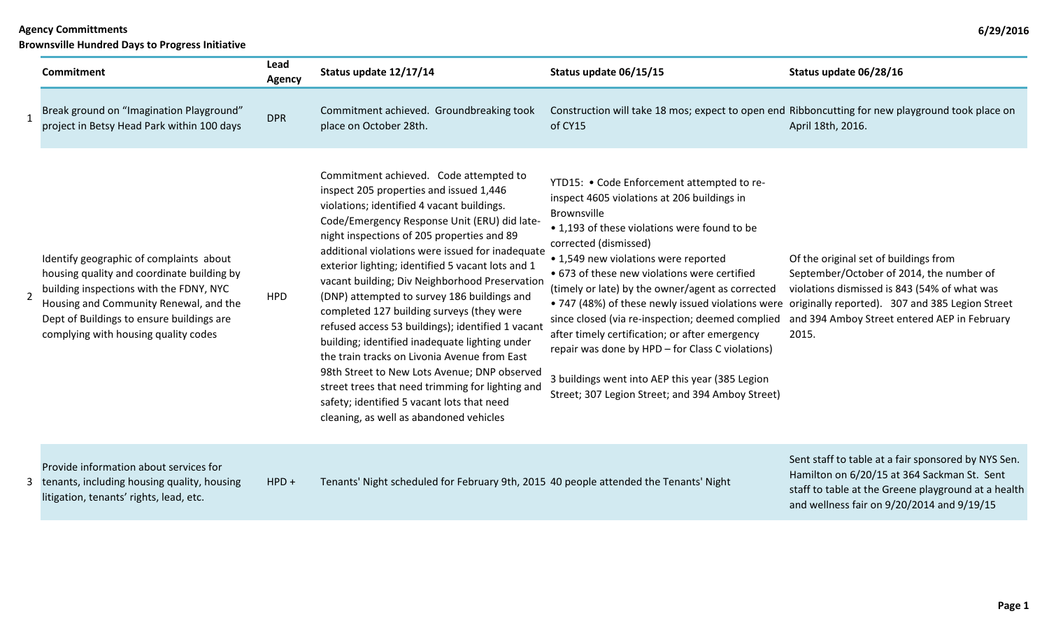**Brownsville Hundred Days to Progress Initiative**

|                | <b>Commitment</b>                                                                                                                                                                                                                                               | Lead<br><b>Agency</b> | Status update 12/17/14                                                                                                                                                                                                                                                                                                                                                                                                                                                                                                                                                                                                                                                                                                                                                                                                                   | Status update 06/15/15                                                                                                                                                                                                                                                                                                                                                                                                                                                                                                                                                                                                                                                                              | Status update 06/28/16                                                                                                                                                                                  |
|----------------|-----------------------------------------------------------------------------------------------------------------------------------------------------------------------------------------------------------------------------------------------------------------|-----------------------|------------------------------------------------------------------------------------------------------------------------------------------------------------------------------------------------------------------------------------------------------------------------------------------------------------------------------------------------------------------------------------------------------------------------------------------------------------------------------------------------------------------------------------------------------------------------------------------------------------------------------------------------------------------------------------------------------------------------------------------------------------------------------------------------------------------------------------------|-----------------------------------------------------------------------------------------------------------------------------------------------------------------------------------------------------------------------------------------------------------------------------------------------------------------------------------------------------------------------------------------------------------------------------------------------------------------------------------------------------------------------------------------------------------------------------------------------------------------------------------------------------------------------------------------------------|---------------------------------------------------------------------------------------------------------------------------------------------------------------------------------------------------------|
|                | Break ground on "Imagination Playground"<br>project in Betsy Head Park within 100 days                                                                                                                                                                          | <b>DPR</b>            | Commitment achieved. Groundbreaking took<br>place on October 28th.                                                                                                                                                                                                                                                                                                                                                                                                                                                                                                                                                                                                                                                                                                                                                                       | Construction will take 18 mos; expect to open end Ribboncutting for new playground took place on<br>of CY15                                                                                                                                                                                                                                                                                                                                                                                                                                                                                                                                                                                         | April 18th, 2016.                                                                                                                                                                                       |
| $\overline{2}$ | Identify geographic of complaints about<br>housing quality and coordinate building by<br>building inspections with the FDNY, NYC<br>Housing and Community Renewal, and the<br>Dept of Buildings to ensure buildings are<br>complying with housing quality codes | <b>HPD</b>            | Commitment achieved. Code attempted to<br>inspect 205 properties and issued 1,446<br>violations; identified 4 vacant buildings.<br>Code/Emergency Response Unit (ERU) did late-<br>night inspections of 205 properties and 89<br>additional violations were issued for inadequate<br>exterior lighting; identified 5 vacant lots and 1<br>vacant building; Div Neighborhood Preservation<br>(DNP) attempted to survey 186 buildings and<br>completed 127 building surveys (they were<br>refused access 53 buildings); identified 1 vacant<br>building; identified inadequate lighting under<br>the train tracks on Livonia Avenue from East<br>98th Street to New Lots Avenue; DNP observed<br>street trees that need trimming for lighting and<br>safety; identified 5 vacant lots that need<br>cleaning, as well as abandoned vehicles | YTD15: • Code Enforcement attempted to re-<br>inspect 4605 violations at 206 buildings in<br>Brownsville<br>• 1,193 of these violations were found to be<br>corrected (dismissed)<br>• 1,549 new violations were reported<br>• 673 of these new violations were certified<br>(timely or late) by the owner/agent as corrected<br>• 747 (48%) of these newly issued violations were originally reported). 307 and 385 Legion Street<br>since closed (via re-inspection; deemed complied<br>after timely certification; or after emergency<br>repair was done by HPD - for Class C violations)<br>3 buildings went into AEP this year (385 Legion<br>Street; 307 Legion Street; and 394 Amboy Street) | Of the original set of buildings from<br>September/October of 2014, the number of<br>violations dismissed is 843 (54% of what was<br>and 394 Amboy Street entered AEP in February<br>2015.              |
|                | Provide information about services for<br>3 tenants, including housing quality, housing<br>litigation, tenants' rights, lead, etc.                                                                                                                              | $HPD +$               | Tenants' Night scheduled for February 9th, 2015 40 people attended the Tenants' Night                                                                                                                                                                                                                                                                                                                                                                                                                                                                                                                                                                                                                                                                                                                                                    |                                                                                                                                                                                                                                                                                                                                                                                                                                                                                                                                                                                                                                                                                                     | Sent staff to table at a fair sponsored by NYS Sen.<br>Hamilton on 6/20/15 at 364 Sackman St. Sent<br>staff to table at the Greene playground at a health<br>and wellness fair on 9/20/2014 and 9/19/15 |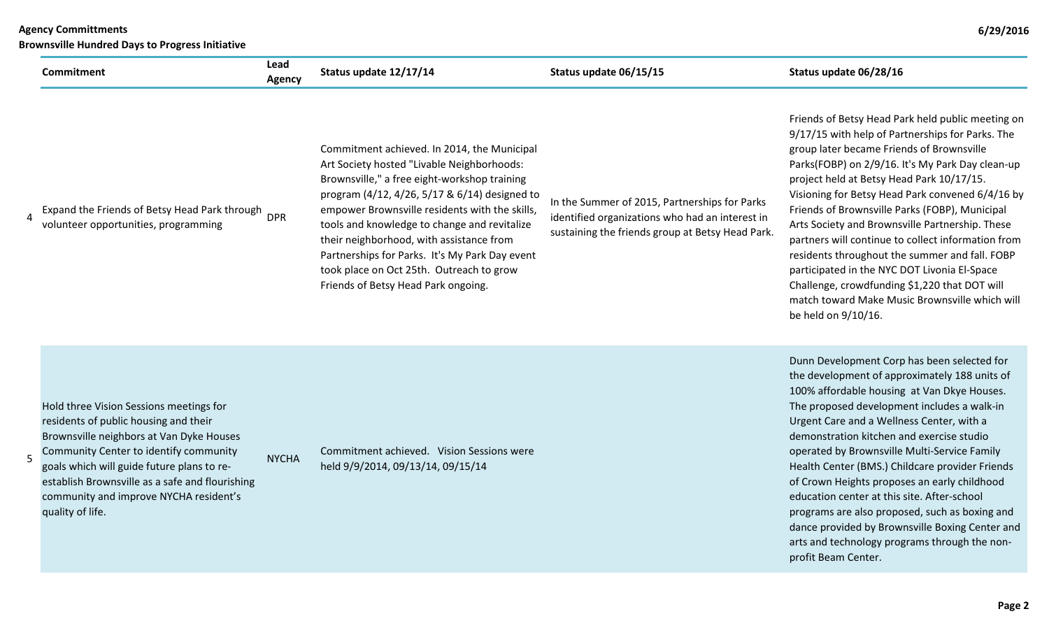| <b>Agency Committments</b><br><b>Brownsville Hundred Days to Progress Initiative</b> |                |                                             |                        |                                                     |
|--------------------------------------------------------------------------------------|----------------|---------------------------------------------|------------------------|-----------------------------------------------------|
| Commitment                                                                           | Lead<br>Agency | Status update 12/17/14                      | Status update 06/15/15 | Status update 06/28/16                              |
|                                                                                      |                |                                             |                        | Friends of Betsy Head Pa                            |
|                                                                                      |                | Commitment achieved. In 2014, the Municipal |                        | 9/17/15 with help of Par<br>group later became Frie |

| Expand the Friends of Betsy Head Park through | <b>DPR</b> |
|-----------------------------------------------|------------|
| volunteer opportunities, programming          |            |

4

5

Commitment achieved. In 2014, the Municipal Art Society hosted "Livable Neighborhoods: Brownsville," a free eight-workshop training program (4/12, 4/26, 5/17 & 6/14) designed to empower Brownsville residents with the skills, tools and knowledge to change and revitalize their neighborhood, with assistance from Partnerships for Parks. It's My Park Day event took place on Oct 25th. Outreach to grow Friends of Betsy Head Park ongoing.

In the Summer of 2015, Partnerships for Parks identified organizations who had an interest in sustaining the friends group at Betsy Head Park.

Head Park held public meeting on Ip of Partnerships for Parks. The later became Friends of Brownsville Parks(FOBP) on 2/9/16. It's My Park Day clean-up project held at Betsy Head Park 10/17/15. Visioning for Betsy Head Park convened 6/4/16 by Friends of Brownsville Parks (FOBP), Municipal Arts Society and Brownsville Partnership. These partners will continue to collect information from residents throughout the summer and fall. FOBP participated in the NYC DOT Livonia El-Space Challenge, crowdfunding \$1,220 that DOT will match toward Make Music Brownsville which will be held on 9/10/16.

Hold three Vision Sessions meetings for residents of public housing and their Brownsville neighbors at Van Dyke Houses Community Center to identify community goals which will guide future plans to reestablish Brownsville as a safe and flourishing community and improve NYCHA resident's quality of life.

**NYCHA** 

Commitment achieved. Vision Sessions were held 9/9/2014, 09/13/14, 09/15/14

Dunn Development Corp has been selected for the development of approximately 188 units of 100% affordable housing at Van Dkye Houses. The proposed development includes a walk-in Urgent Care and a Wellness Center, with a demonstration kitchen and exercise studio operated by Brownsville Multi-Service Family Health Center (BMS.) Childcare provider Friends of Crown Heights proposes an early childhood education center at this site. After-school programs are also proposed, such as boxing and dance provided by Brownsville Boxing Center and arts and technology programs through the nonprofit Beam Center.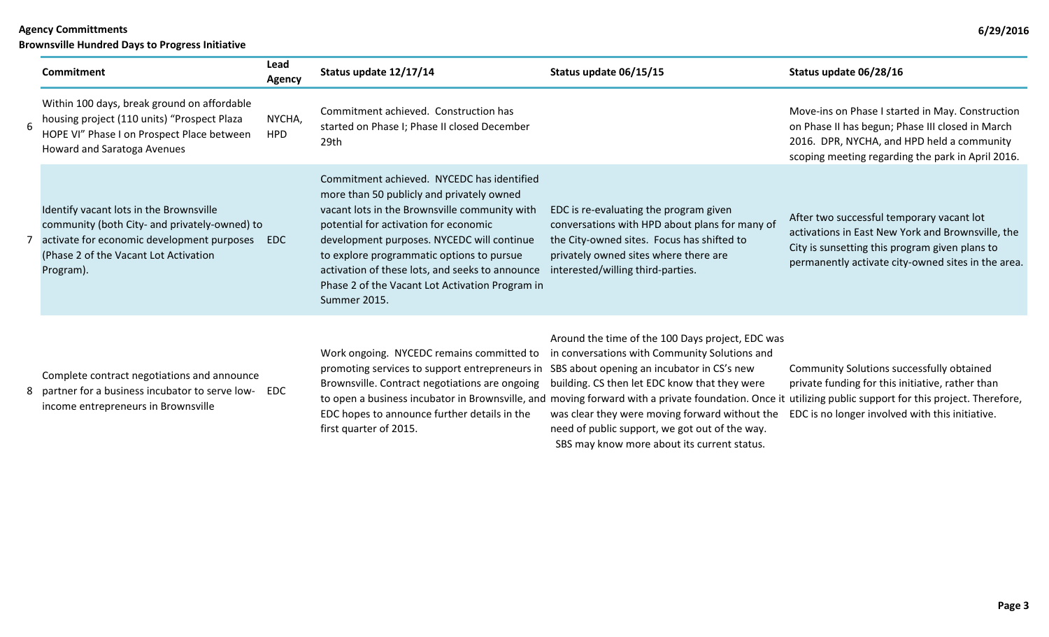**Brownsville Hundred Days to Progress Initiative**

|   | <b>Commitment</b>                                                                                                                                                                            | Lead<br><b>Agency</b> | Status update 12/17/14                                                                                                                                                                                                                                                                                                                                                                             | Status update 06/15/15                                                                                                                                                                                                                                        | Status update 06/28/16                                                                                                                                                                                  |
|---|----------------------------------------------------------------------------------------------------------------------------------------------------------------------------------------------|-----------------------|----------------------------------------------------------------------------------------------------------------------------------------------------------------------------------------------------------------------------------------------------------------------------------------------------------------------------------------------------------------------------------------------------|---------------------------------------------------------------------------------------------------------------------------------------------------------------------------------------------------------------------------------------------------------------|---------------------------------------------------------------------------------------------------------------------------------------------------------------------------------------------------------|
| 6 | Within 100 days, break ground on affordable<br>housing project (110 units) "Prospect Plaza<br>HOPE VI" Phase I on Prospect Place between<br>Howard and Saratoga Avenues                      | NYCHA,<br><b>HPD</b>  | Commitment achieved. Construction has<br>started on Phase I; Phase II closed December<br>29th                                                                                                                                                                                                                                                                                                      |                                                                                                                                                                                                                                                               | Move-ins on Phase I started in May. Construction<br>on Phase II has begun; Phase III closed in March<br>2016. DPR, NYCHA, and HPD held a community<br>scoping meeting regarding the park in April 2016. |
|   | Identify vacant lots in the Brownsville<br>community (both City- and privately-owned) to<br>activate for economic development purposes<br>(Phase 2 of the Vacant Lot Activation<br>Program). | EDC                   | Commitment achieved. NYCEDC has identified<br>more than 50 publicly and privately owned<br>vacant lots in the Brownsville community with<br>potential for activation for economic<br>development purposes. NYCEDC will continue<br>to explore programmatic options to pursue<br>activation of these lots, and seeks to announce<br>Phase 2 of the Vacant Lot Activation Program in<br>Summer 2015. | EDC is re-evaluating the program given<br>conversations with HPD about plans for many of<br>the City-owned sites. Focus has shifted to<br>privately owned sites where there are<br>interested/willing third-parties.                                          | After two successful temporary vacant lot<br>activations in East New York and Brownsville, the<br>City is sunsetting this program given plans to<br>permanently activate city-owned sites in the area.  |
|   | Complete contract negotiations and announce<br>8 partner for a business incubator to serve low- EDC<br>income entrepreneurs in Brownsville                                                   |                       | Work ongoing. NYCEDC remains committed to<br>promoting services to support entrepreneurs in SBS about opening an incubator in CS's new<br>Brownsville. Contract negotiations are ongoing building. CS then let EDC know that they were                                                                                                                                                             | Around the time of the 100 Days project, EDC was<br>in conversations with Community Solutions and<br>to open a business incubator in Brownsville, and moving forward with a private foundation. Once it utilizing public support for this project. Therefore, | Community Solutions successfully obtained<br>private funding for this initiative, rather than<br>$\mathbf{r} = \mathbf{r}$                                                                              |

EDC hopes to announce further details in the first quarter of 2015.

was clear they were moving forward without the EDC is no longer involved with this initiative. need of public support, we got out of the way.

SBS may know more about its current status.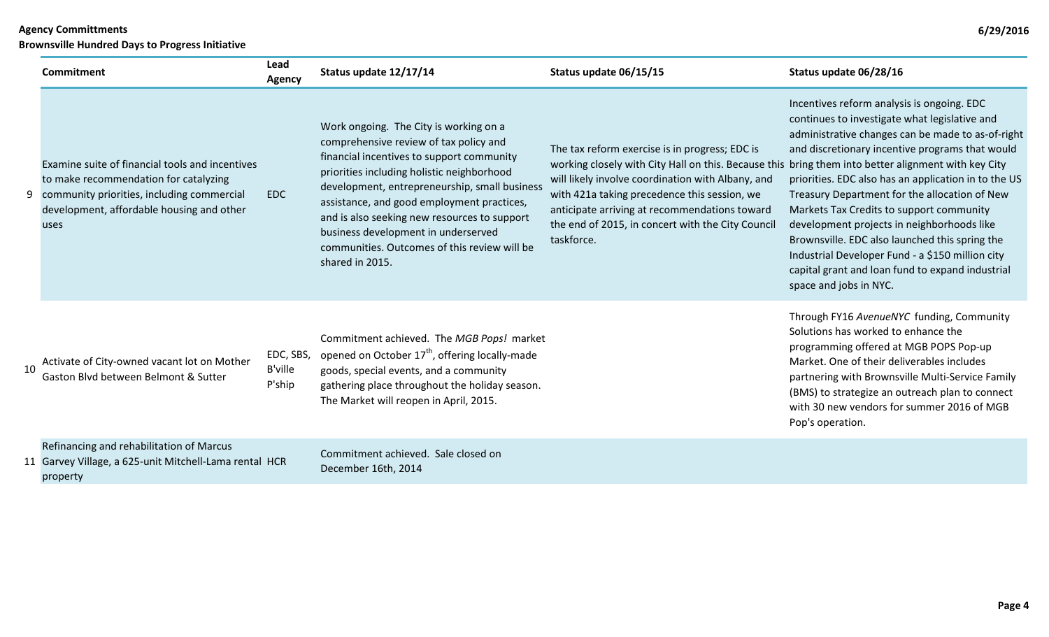|    | DI OWNSVING HUNULGU DAYS tO FIORICSS INITIATIVE                                                                                                                                               |                                       |                                                                                                                                                                                                                                                                                                                                                                                                                                      |                                                                                                                                                                                                                                                                                                                                                                                |                                                                                                                                                                                                                                                                                                                                                                                                                                                                                                                                                                                            |  |  |
|----|-----------------------------------------------------------------------------------------------------------------------------------------------------------------------------------------------|---------------------------------------|--------------------------------------------------------------------------------------------------------------------------------------------------------------------------------------------------------------------------------------------------------------------------------------------------------------------------------------------------------------------------------------------------------------------------------------|--------------------------------------------------------------------------------------------------------------------------------------------------------------------------------------------------------------------------------------------------------------------------------------------------------------------------------------------------------------------------------|--------------------------------------------------------------------------------------------------------------------------------------------------------------------------------------------------------------------------------------------------------------------------------------------------------------------------------------------------------------------------------------------------------------------------------------------------------------------------------------------------------------------------------------------------------------------------------------------|--|--|
|    | <b>Commitment</b>                                                                                                                                                                             | Lead<br>Agency                        | Status update 12/17/14                                                                                                                                                                                                                                                                                                                                                                                                               | Status update 06/15/15                                                                                                                                                                                                                                                                                                                                                         | Status update 06/28/16                                                                                                                                                                                                                                                                                                                                                                                                                                                                                                                                                                     |  |  |
|    | Examine suite of financial tools and incentives<br>to make recommendation for catalyzing<br>9 community priorities, including commercial<br>development, affordable housing and other<br>uses | <b>EDC</b>                            | Work ongoing. The City is working on a<br>comprehensive review of tax policy and<br>financial incentives to support community<br>priorities including holistic neighborhood<br>development, entrepreneurship, small business<br>assistance, and good employment practices,<br>and is also seeking new resources to support<br>business development in underserved<br>communities. Outcomes of this review will be<br>shared in 2015. | The tax reform exercise is in progress; EDC is<br>working closely with City Hall on this. Because this bring them into better alignment with key City<br>will likely involve coordination with Albany, and<br>with 421a taking precedence this session, we<br>anticipate arriving at recommendations toward<br>the end of 2015, in concert with the City Council<br>taskforce. | Incentives reform analysis is ongoing. EDC<br>continues to investigate what legislative and<br>administrative changes can be made to as-of-right<br>and discretionary incentive programs that would<br>priorities. EDC also has an application in to the US<br>Treasury Department for the allocation of New<br>Markets Tax Credits to support community<br>development projects in neighborhoods like<br>Brownsville. EDC also launched this spring the<br>Industrial Developer Fund - a \$150 million city<br>capital grant and loan fund to expand industrial<br>space and jobs in NYC. |  |  |
| 10 | Activate of City-owned vacant lot on Mother<br>Gaston Blvd between Belmont & Sutter                                                                                                           | EDC, SBS,<br><b>B'ville</b><br>P'ship | Commitment achieved. The MGB Pops! market<br>opened on October 17 <sup>th</sup> , offering locally-made<br>goods, special events, and a community<br>gathering place throughout the holiday season.<br>The Market will reopen in April, 2015.                                                                                                                                                                                        |                                                                                                                                                                                                                                                                                                                                                                                | Through FY16 AvenueNYC funding, Community<br>Solutions has worked to enhance the<br>programming offered at MGB POPS Pop-up<br>Market. One of their deliverables includes<br>partnering with Brownsville Multi-Service Family<br>(BMS) to strategize an outreach plan to connect<br>with 30 new vendors for summer 2016 of MGB<br>Pop's operation.                                                                                                                                                                                                                                          |  |  |
|    | Refinancing and rehabilitation of Marcus<br>11 Garvey Village, a 625-unit Mitchell-Lama rental HCR<br>property                                                                                |                                       | Commitment achieved. Sale closed on<br>December 16th, 2014                                                                                                                                                                                                                                                                                                                                                                           |                                                                                                                                                                                                                                                                                                                                                                                |                                                                                                                                                                                                                                                                                                                                                                                                                                                                                                                                                                                            |  |  |
|    |                                                                                                                                                                                               |                                       |                                                                                                                                                                                                                                                                                                                                                                                                                                      |                                                                                                                                                                                                                                                                                                                                                                                |                                                                                                                                                                                                                                                                                                                                                                                                                                                                                                                                                                                            |  |  |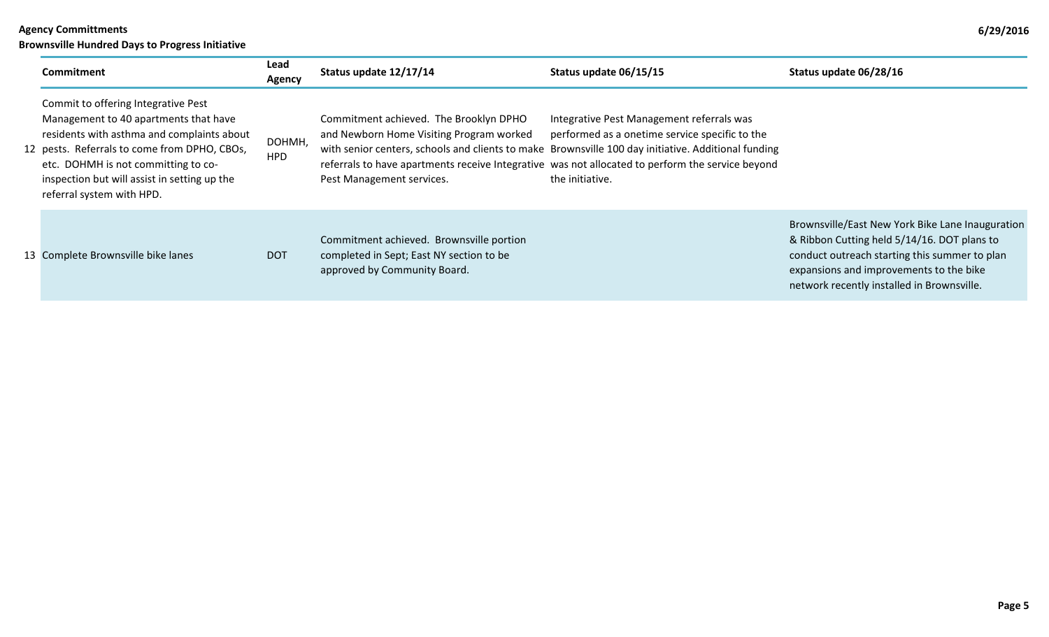**Brownsville Hundred Days to Progress Initiative**

| Commitment                                                                                                                                                                                                                                                                                     | Lead<br>Agency | Status update 12/17/14                                                                                               | Status update 06/15/15                                                                                                                                                                                                                                                                                                    | Status update 06/28/16                                                                                                                                                                                                                    |
|------------------------------------------------------------------------------------------------------------------------------------------------------------------------------------------------------------------------------------------------------------------------------------------------|----------------|----------------------------------------------------------------------------------------------------------------------|---------------------------------------------------------------------------------------------------------------------------------------------------------------------------------------------------------------------------------------------------------------------------------------------------------------------------|-------------------------------------------------------------------------------------------------------------------------------------------------------------------------------------------------------------------------------------------|
| Commit to offering Integrative Pest<br>Management to 40 apartments that have<br>residents with asthma and complaints about<br>12 pests. Referrals to come from DPHO, CBOs,<br>etc. DOHMH is not committing to co-<br>inspection but will assist in setting up the<br>referral system with HPD. | DOHMH,<br>HPD  | Commitment achieved. The Brooklyn DPHO<br>and Newborn Home Visiting Program worked<br>Pest Management services.      | Integrative Pest Management referrals was<br>performed as a onetime service specific to the<br>with senior centers, schools and clients to make Brownsville 100 day initiative. Additional funding<br>referrals to have apartments receive Integrative was not allocated to perform the service beyond<br>the initiative. |                                                                                                                                                                                                                                           |
| 13 Complete Brownsville bike lanes                                                                                                                                                                                                                                                             | <b>DOT</b>     | Commitment achieved. Brownsville portion<br>completed in Sept; East NY section to be<br>approved by Community Board. |                                                                                                                                                                                                                                                                                                                           | Brownsville/East New York Bike Lane Inauguration<br>& Ribbon Cutting held 5/14/16. DOT plans to<br>conduct outreach starting this summer to plan<br>expansions and improvements to the bike<br>network recently installed in Brownsville. |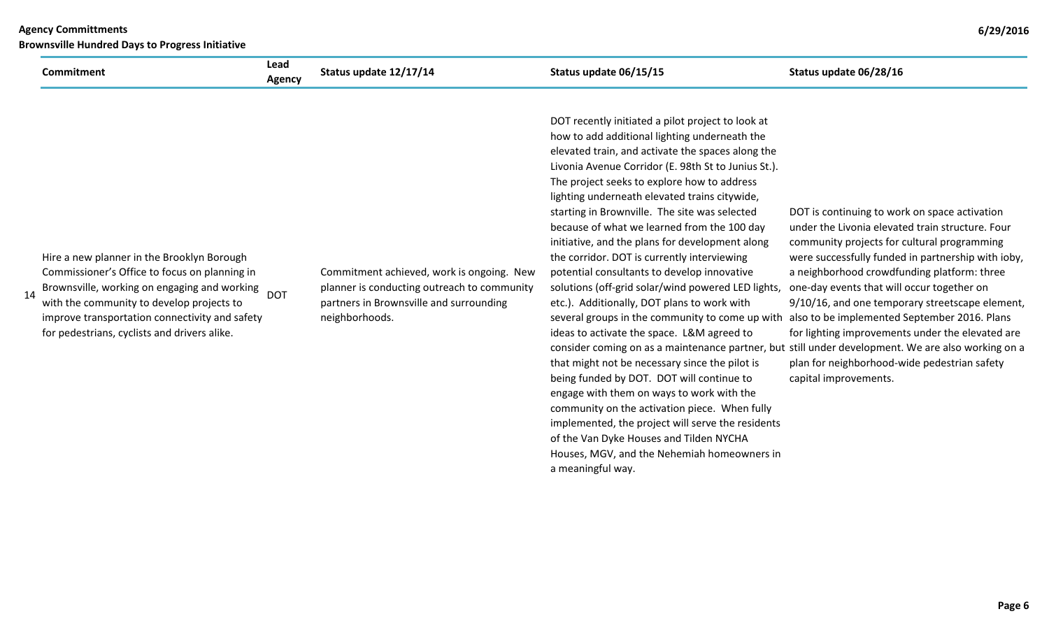| <b>Commitment</b>                                                                                                                                                                                                                                                                                | Lead<br>Agency | Status update 12/17/14                                                                                                                                | Status update 06/15/15                                                                                                                                                                                                                                                                                                                                                                                                                                                                                                                                                                                                                                                                                                                                                                                                                                                                                                                                                                                                                                                                                                                                                                                                                       | Status update 06/28/16                                                                                                                                                                                                                                                                                                                                                                                                                                                                                                              |
|--------------------------------------------------------------------------------------------------------------------------------------------------------------------------------------------------------------------------------------------------------------------------------------------------|----------------|-------------------------------------------------------------------------------------------------------------------------------------------------------|----------------------------------------------------------------------------------------------------------------------------------------------------------------------------------------------------------------------------------------------------------------------------------------------------------------------------------------------------------------------------------------------------------------------------------------------------------------------------------------------------------------------------------------------------------------------------------------------------------------------------------------------------------------------------------------------------------------------------------------------------------------------------------------------------------------------------------------------------------------------------------------------------------------------------------------------------------------------------------------------------------------------------------------------------------------------------------------------------------------------------------------------------------------------------------------------------------------------------------------------|-------------------------------------------------------------------------------------------------------------------------------------------------------------------------------------------------------------------------------------------------------------------------------------------------------------------------------------------------------------------------------------------------------------------------------------------------------------------------------------------------------------------------------------|
| Hire a new planner in the Brooklyn Borough<br>Commissioner's Office to focus on planning in<br>Brownsville, working on engaging and working<br>14<br>with the community to develop projects to<br>improve transportation connectivity and safety<br>for pedestrians, cyclists and drivers alike. | <b>DOT</b>     | Commitment achieved, work is ongoing. New<br>planner is conducting outreach to community<br>partners in Brownsville and surrounding<br>neighborhoods. | DOT recently initiated a pilot project to look at<br>how to add additional lighting underneath the<br>elevated train, and activate the spaces along the<br>Livonia Avenue Corridor (E. 98th St to Junius St.).<br>The project seeks to explore how to address<br>lighting underneath elevated trains citywide,<br>starting in Brownville. The site was selected<br>because of what we learned from the 100 day<br>initiative, and the plans for development along<br>the corridor. DOT is currently interviewing<br>potential consultants to develop innovative<br>solutions (off-grid solar/wind powered LED lights,<br>etc.). Additionally, DOT plans to work with<br>several groups in the community to come up with<br>ideas to activate the space. L&M agreed to<br>consider coming on as a maintenance partner, but still under development. We are also working on a<br>that might not be necessary since the pilot is<br>being funded by DOT. DOT will continue to<br>engage with them on ways to work with the<br>community on the activation piece. When fully<br>implemented, the project will serve the residents<br>of the Van Dyke Houses and Tilden NYCHA<br>Houses, MGV, and the Nehemiah homeowners in<br>a meaningful way. | DOT is continuing to work on space activation<br>under the Livonia elevated train structure. Four<br>community projects for cultural programming<br>were successfully funded in partnership with ioby,<br>a neighborhood crowdfunding platform: three<br>one-day events that will occur together on<br>9/10/16, and one temporary streetscape element,<br>also to be implemented September 2016. Plans<br>for lighting improvements under the elevated are<br>plan for neighborhood-wide pedestrian safety<br>capital improvements. |

**Brownsville Hundred Days to Progress Initiative**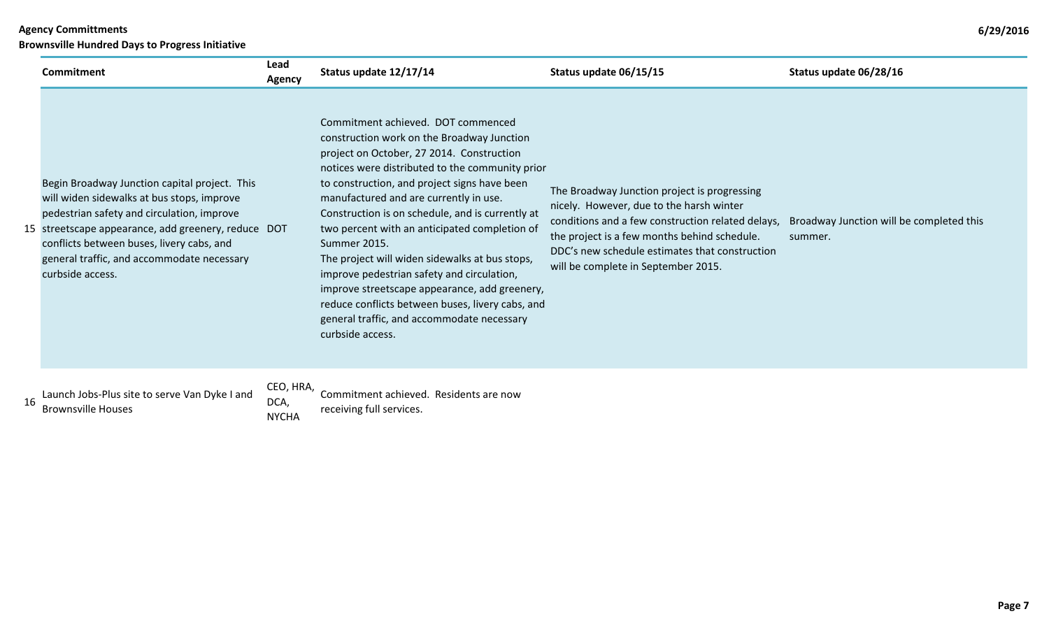| <b>Agency Committments</b>                             |                |                        |                        |                        |  |
|--------------------------------------------------------|----------------|------------------------|------------------------|------------------------|--|
| <b>Brownsville Hundred Days to Progress Initiative</b> |                |                        |                        |                        |  |
| Commitment                                             | Lead<br>Agency | Status update 12/17/14 | Status update 06/15/15 | Status update 06/28/16 |  |

|  | Begin Broadway Junction capital project. This<br>will widen sidewalks at bus stops, improve<br>pedestrian safety and circulation, improve<br>15 streetscape appearance, add greenery, reduce DOT<br>conflicts between buses, livery cabs, and<br>general traffic, and accommodate necessary<br>curbside access. | Commitment achieved. DOT commenced<br>construction work on the Broadway Junction<br>project on October, 27 2014. Construction<br>notices were distributed to the community prior<br>to construction, and project signs have been<br>manufactured and are currently in use.<br>Construction is on schedule, and is currently at<br>two percent with an anticipated completion of<br>Summer 2015.<br>The project will widen sidewalks at bus stops,<br>improve pedestrian safety and circulation,<br>improve streetscape appearance, add greenery,<br>reduce conflicts between buses, livery cabs, and<br>general traffic, and accommodate necessary<br>curbside access. | The Broadway Junction project is progressing<br>nicely. However, due to the harsh winter<br>conditions and a few construction related delays,<br>the project is a few months behind schedule.<br>DDC's new schedule estimates that construction<br>will be complete in September 2015. | Broadway Junction will be completed this<br>summer. |
|--|-----------------------------------------------------------------------------------------------------------------------------------------------------------------------------------------------------------------------------------------------------------------------------------------------------------------|------------------------------------------------------------------------------------------------------------------------------------------------------------------------------------------------------------------------------------------------------------------------------------------------------------------------------------------------------------------------------------------------------------------------------------------------------------------------------------------------------------------------------------------------------------------------------------------------------------------------------------------------------------------------|----------------------------------------------------------------------------------------------------------------------------------------------------------------------------------------------------------------------------------------------------------------------------------------|-----------------------------------------------------|
|--|-----------------------------------------------------------------------------------------------------------------------------------------------------------------------------------------------------------------------------------------------------------------------------------------------------------------|------------------------------------------------------------------------------------------------------------------------------------------------------------------------------------------------------------------------------------------------------------------------------------------------------------------------------------------------------------------------------------------------------------------------------------------------------------------------------------------------------------------------------------------------------------------------------------------------------------------------------------------------------------------------|----------------------------------------------------------------------------------------------------------------------------------------------------------------------------------------------------------------------------------------------------------------------------------------|-----------------------------------------------------|

| 16 | Launch Jobs-Plus site to serve Van Dyke I and |  |  |  |  |  |  |
|----|-----------------------------------------------|--|--|--|--|--|--|
|    | <b>Brownsville Houses</b>                     |  |  |  |  |  |  |

CEO, HRA, NYCHA

SEC, ANN Y Commitment achieved. Residents are now<br>DCA, experimental continues receiving full services.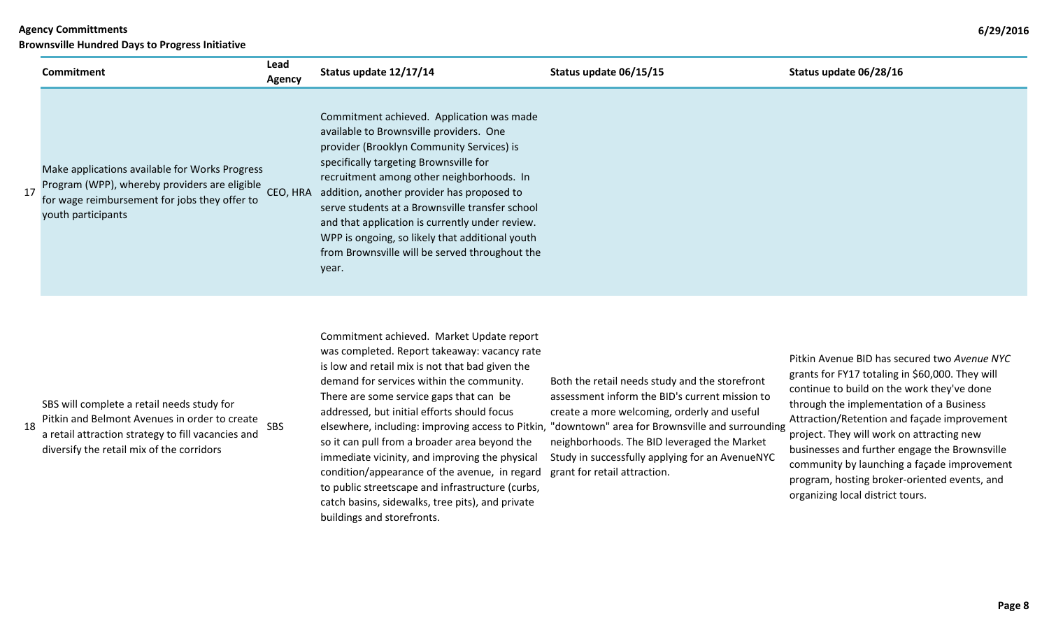**Brownsville Hundred Days to Progress Initiative**

|    | Commitment                                                                                                                                                                                     | Lead               | Status update 12/17/14                                                                                                                                                                                                                                                                                                                                                                                                                                                                     | Status update 06/15/15                                                                                                                                                                                                                                                                                                                                 | Status update 06/28/16                                                                                                                                                                                                                                                                                                                                                                        |
|----|------------------------------------------------------------------------------------------------------------------------------------------------------------------------------------------------|--------------------|--------------------------------------------------------------------------------------------------------------------------------------------------------------------------------------------------------------------------------------------------------------------------------------------------------------------------------------------------------------------------------------------------------------------------------------------------------------------------------------------|--------------------------------------------------------------------------------------------------------------------------------------------------------------------------------------------------------------------------------------------------------------------------------------------------------------------------------------------------------|-----------------------------------------------------------------------------------------------------------------------------------------------------------------------------------------------------------------------------------------------------------------------------------------------------------------------------------------------------------------------------------------------|
| 17 | Make applications available for Works Progress<br>Program (WPP), whereby providers are eligible<br>for wage reimbursement for jobs they offer to<br>youth participants                         | Agency<br>CEO, HRA | Commitment achieved. Application was made<br>available to Brownsville providers. One<br>provider (Brooklyn Community Services) is<br>specifically targeting Brownsville for<br>recruitment among other neighborhoods. In<br>addition, another provider has proposed to<br>serve students at a Brownsville transfer school<br>and that application is currently under review.<br>WPP is ongoing, so likely that additional youth<br>from Brownsville will be served throughout the<br>year. |                                                                                                                                                                                                                                                                                                                                                        |                                                                                                                                                                                                                                                                                                                                                                                               |
| 18 | SBS will complete a retail needs study for<br>Pitkin and Belmont Avenues in order to create<br>a retail attraction strategy to fill vacancies and<br>diversify the retail mix of the corridors | SBS                | Commitment achieved. Market Update report<br>was completed. Report takeaway: vacancy rate<br>is low and retail mix is not that bad given the<br>demand for services within the community.<br>There are some service gaps that can be<br>addressed, but initial efforts should focus<br>so it can pull from a broader area beyond the<br>immediate vicinity, and improving the physical                                                                                                     | Both the retail needs study and the storefront<br>assessment inform the BID's current mission to<br>create a more welcoming, orderly and useful<br>elsewhere, including: improving access to Pitkin, "downtown" area for Brownsville and surrounding<br>neighborhoods. The BID leveraged the Market<br>Study in successfully applying for an AvenueNYC | Pitkin Avenue BID has secured two Avenue NYC<br>grants for FY17 totaling in \$60,000. They will<br>continue to build on the work they've done<br>through the implementation of a Business<br>Attraction/Retention and façade improvement<br>project. They will work on attracting new<br>businesses and further engage the Brownsville<br>recontrato de la condidad de fanada inconsumento de |

condition/appearance of the avenue, in regard grant for retail attraction. to public streetscape and infrastructure (curbs, catch basins, sidewalks, tree pits), and private buildings and storefronts.

community by launching a façade improvement program, hosting broker-oriented events, and organizing local district tours.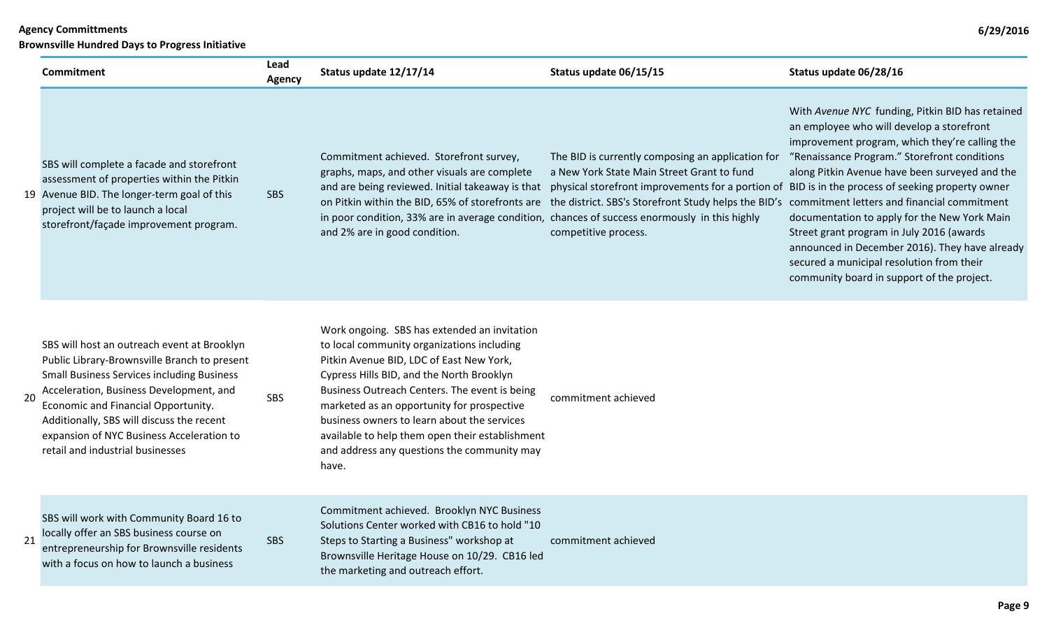|    | <b>Brownsville Hundred Days to Progress Initiative</b>                                                                                                                                                                                                                                                                                                           |                       |                                                                                                                                                                                                                                                                                                                                                                                                                                              |                                                                                                                                                                                                                                                                                                                                                                                   |                                                                                                                                                                                                                                                                                                                                                                                                                                                                                             |  |  |
|----|------------------------------------------------------------------------------------------------------------------------------------------------------------------------------------------------------------------------------------------------------------------------------------------------------------------------------------------------------------------|-----------------------|----------------------------------------------------------------------------------------------------------------------------------------------------------------------------------------------------------------------------------------------------------------------------------------------------------------------------------------------------------------------------------------------------------------------------------------------|-----------------------------------------------------------------------------------------------------------------------------------------------------------------------------------------------------------------------------------------------------------------------------------------------------------------------------------------------------------------------------------|---------------------------------------------------------------------------------------------------------------------------------------------------------------------------------------------------------------------------------------------------------------------------------------------------------------------------------------------------------------------------------------------------------------------------------------------------------------------------------------------|--|--|
|    | <b>Commitment</b>                                                                                                                                                                                                                                                                                                                                                | Lead<br><b>Agency</b> | Status update 12/17/14                                                                                                                                                                                                                                                                                                                                                                                                                       | Status update 06/15/15                                                                                                                                                                                                                                                                                                                                                            | Status update 06/28/16                                                                                                                                                                                                                                                                                                                                                                                                                                                                      |  |  |
|    | SBS will complete a facade and storefront<br>assessment of properties within the Pitkin<br>19 Avenue BID. The longer-term goal of this<br>project will be to launch a local<br>storefront/façade improvement program.                                                                                                                                            | <b>SBS</b>            | Commitment achieved. Storefront survey,<br>graphs, maps, and other visuals are complete<br>on Pitkin within the BID, 65% of storefronts are<br>in poor condition, 33% are in average condition, chances of success enormously in this highly<br>and 2% are in good condition.                                                                                                                                                                | The BID is currently composing an application for<br>a New York State Main Street Grant to fund<br>and are being reviewed. Initial takeaway is that physical storefront improvements for a portion of BID is in the process of seeking property owner<br>the district. SBS's Storefront Study helps the BID's commitment letters and financial commitment<br>competitive process. | With Avenue NYC funding, Pitkin BID has retained<br>an employee who will develop a storefront<br>improvement program, which they're calling the<br>"Renaissance Program." Storefront conditions<br>along Pitkin Avenue have been surveyed and the<br>documentation to apply for the New York Main<br>Street grant program in July 2016 (awards<br>announced in December 2016). They have already<br>secured a municipal resolution from their<br>community board in support of the project. |  |  |
| 20 | SBS will host an outreach event at Brooklyn<br>Public Library-Brownsville Branch to present<br><b>Small Business Services including Business</b><br>Acceleration, Business Development, and<br>Economic and Financial Opportunity.<br>Additionally, SBS will discuss the recent<br>expansion of NYC Business Acceleration to<br>retail and industrial businesses | <b>SBS</b>            | Work ongoing. SBS has extended an invitation<br>to local community organizations including<br>Pitkin Avenue BID, LDC of East New York,<br>Cypress Hills BID, and the North Brooklyn<br>Business Outreach Centers. The event is being<br>marketed as an opportunity for prospective<br>business owners to learn about the services<br>available to help them open their establishment<br>and address any questions the community may<br>have. | commitment achieved                                                                                                                                                                                                                                                                                                                                                               |                                                                                                                                                                                                                                                                                                                                                                                                                                                                                             |  |  |
|    |                                                                                                                                                                                                                                                                                                                                                                  |                       | Commitment achieved Brooklyn NVC Business                                                                                                                                                                                                                                                                                                                                                                                                    |                                                                                                                                                                                                                                                                                                                                                                                   |                                                                                                                                                                                                                                                                                                                                                                                                                                                                                             |  |  |

21 SBS will work with Community Board 16 to locally offer an SBS business course on entrepreneurship for Brownsville residents with a focus on how to launch a business

SBS

Commitment achieved. Brookly Solutions Center worked with CB16 to hold "10 Steps to Starting a Business" workshop at Brownsville Heritage House on 10/29. CB16 led the marketing and outreach effort. commitment achieved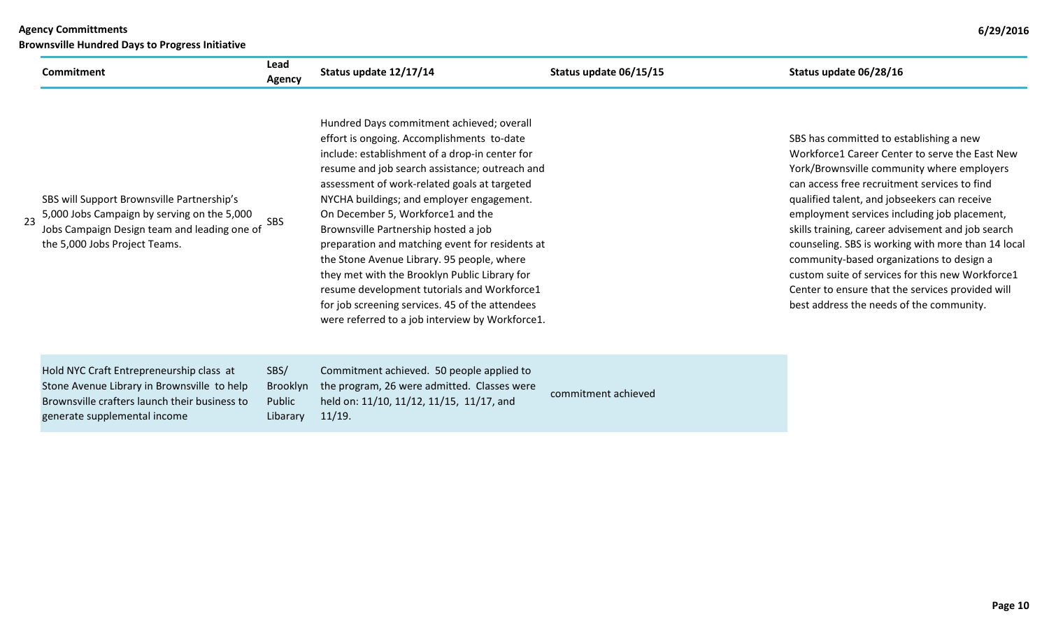|    | <b>Brownsville Hundred Days to Progress Initiative</b>                                                                                                                     |                                               |                                                                                                                                                                                                                                                                                                                                                                                                                                                                                                                                                                                                                                                                              |                        |                                                                                                                                                                                                                                                                                                                                                                                                                                                                                                                                                                                                     |  |  |
|----|----------------------------------------------------------------------------------------------------------------------------------------------------------------------------|-----------------------------------------------|------------------------------------------------------------------------------------------------------------------------------------------------------------------------------------------------------------------------------------------------------------------------------------------------------------------------------------------------------------------------------------------------------------------------------------------------------------------------------------------------------------------------------------------------------------------------------------------------------------------------------------------------------------------------------|------------------------|-----------------------------------------------------------------------------------------------------------------------------------------------------------------------------------------------------------------------------------------------------------------------------------------------------------------------------------------------------------------------------------------------------------------------------------------------------------------------------------------------------------------------------------------------------------------------------------------------------|--|--|
|    | Commitment                                                                                                                                                                 | Lead<br>Agency                                | Status update 12/17/14                                                                                                                                                                                                                                                                                                                                                                                                                                                                                                                                                                                                                                                       | Status update 06/15/15 | Status update 06/28/16                                                                                                                                                                                                                                                                                                                                                                                                                                                                                                                                                                              |  |  |
| 23 | SBS will Support Brownsville Partnership's<br>5,000 Jobs Campaign by serving on the 5,000<br>Jobs Campaign Design team and leading one of<br>the 5,000 Jobs Project Teams. | SBS                                           | Hundred Days commitment achieved; overall<br>effort is ongoing. Accomplishments to-date<br>include: establishment of a drop-in center for<br>resume and job search assistance; outreach and<br>assessment of work-related goals at targeted<br>NYCHA buildings; and employer engagement.<br>On December 5, Workforce1 and the<br>Brownsville Partnership hosted a job<br>preparation and matching event for residents at<br>the Stone Avenue Library. 95 people, where<br>they met with the Brooklyn Public Library for<br>resume development tutorials and Workforce1<br>for job screening services. 45 of the attendees<br>were referred to a job interview by Workforce1. |                        | SBS has committed to establishing a new<br>Workforce1 Career Center to serve the East New<br>York/Brownsville community where employers<br>can access free recruitment services to find<br>qualified talent, and jobseekers can receive<br>employment services including job placement,<br>skills training, career advisement and job search<br>counseling. SBS is working with more than 14 local<br>community-based organizations to design a<br>custom suite of services for this new Workforce1<br>Center to ensure that the services provided will<br>best address the needs of the community. |  |  |
|    | Hold NYC Craft Entrepreneurship class at<br>Stone Avenue Library in Brownsville to help<br>Brownsville crafters launch their business to<br>generate supplemental income   | SBS/<br><b>Brooklyn</b><br>Public<br>Libarary | Commitment achieved. 50 people applied to<br>the program, 26 were admitted. Classes were<br>held on: 11/10, 11/12, 11/15, 11/17, and<br>11/19.                                                                                                                                                                                                                                                                                                                                                                                                                                                                                                                               | commitment achieved    |                                                                                                                                                                                                                                                                                                                                                                                                                                                                                                                                                                                                     |  |  |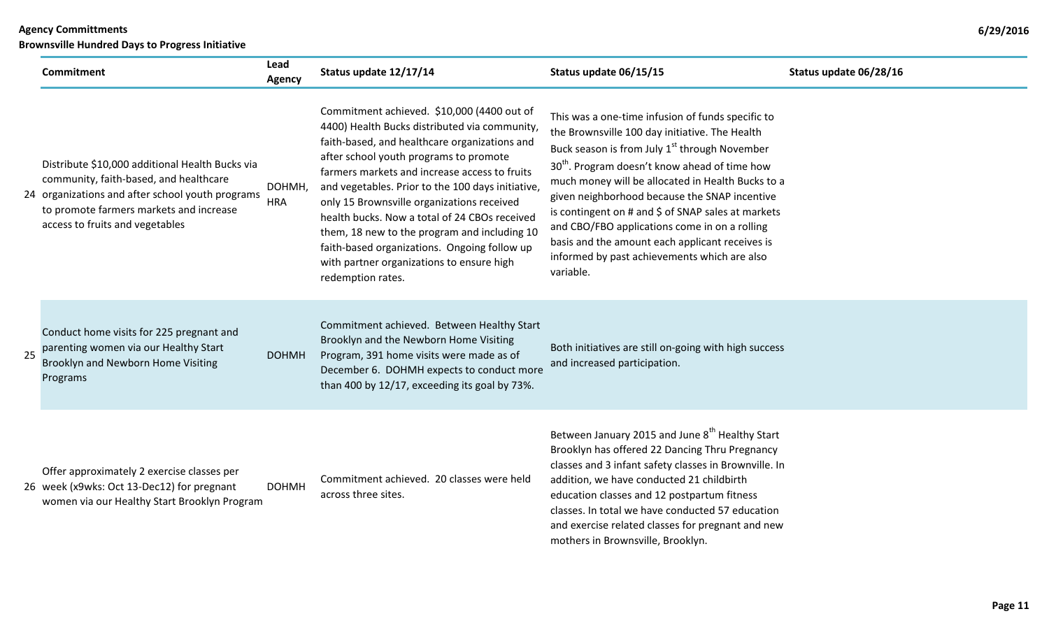|    | <b>Commitment</b>                                                                                                                                                                                                           | Lead<br>Agency       | Status update 12/17/14                                                                                                                                                                                                                                                                                                                                                                                                                                                                                                                                        | Status update 06/15/15                                                                                                                                                                                                                                                                                                                                                                                                                                                                                                                                     | Status update 06/28/16 |
|----|-----------------------------------------------------------------------------------------------------------------------------------------------------------------------------------------------------------------------------|----------------------|---------------------------------------------------------------------------------------------------------------------------------------------------------------------------------------------------------------------------------------------------------------------------------------------------------------------------------------------------------------------------------------------------------------------------------------------------------------------------------------------------------------------------------------------------------------|------------------------------------------------------------------------------------------------------------------------------------------------------------------------------------------------------------------------------------------------------------------------------------------------------------------------------------------------------------------------------------------------------------------------------------------------------------------------------------------------------------------------------------------------------------|------------------------|
|    | Distribute \$10,000 additional Health Bucks via<br>community, faith-based, and healthcare<br>24 organizations and after school youth programs<br>to promote farmers markets and increase<br>access to fruits and vegetables | DOHMH,<br><b>HRA</b> | Commitment achieved. \$10,000 (4400 out of<br>4400) Health Bucks distributed via community,<br>faith-based, and healthcare organizations and<br>after school youth programs to promote<br>farmers markets and increase access to fruits<br>and vegetables. Prior to the 100 days initiative,<br>only 15 Brownsville organizations received<br>health bucks. Now a total of 24 CBOs received<br>them, 18 new to the program and including 10<br>faith-based organizations. Ongoing follow up<br>with partner organizations to ensure high<br>redemption rates. | This was a one-time infusion of funds specific to<br>the Brownsville 100 day initiative. The Health<br>Buck season is from July 1 <sup>st</sup> through November<br>30 <sup>th</sup> . Program doesn't know ahead of time how<br>much money will be allocated in Health Bucks to a<br>given neighborhood because the SNAP incentive<br>is contingent on # and \$ of SNAP sales at markets<br>and CBO/FBO applications come in on a rolling<br>basis and the amount each applicant receives is<br>informed by past achievements which are also<br>variable. |                        |
| 25 | Conduct home visits for 225 pregnant and<br>parenting women via our Healthy Start<br>Brooklyn and Newborn Home Visiting<br>Programs                                                                                         | <b>DOHMH</b>         | Commitment achieved. Between Healthy Start<br>Brooklyn and the Newborn Home Visiting<br>Program, 391 home visits were made as of<br>December 6. DOHMH expects to conduct more<br>than 400 by 12/17, exceeding its goal by 73%.                                                                                                                                                                                                                                                                                                                                | Both initiatives are still on-going with high success<br>and increased participation.                                                                                                                                                                                                                                                                                                                                                                                                                                                                      |                        |
|    | Offer approximately 2 exercise classes per<br>26 week (x9wks: Oct 13-Dec12) for pregnant<br>women via our Healthy Start Brooklyn Program                                                                                    | <b>DOHMH</b>         | Commitment achieved. 20 classes were held<br>across three sites.                                                                                                                                                                                                                                                                                                                                                                                                                                                                                              | Between January 2015 and June 8th Healthy Start<br>Brooklyn has offered 22 Dancing Thru Pregnancy<br>classes and 3 infant safety classes in Brownville. In<br>addition, we have conducted 21 childbirth<br>education classes and 12 postpartum fitness<br>classes. In total we have conducted 57 education<br>and exercise related classes for pregnant and new<br>mothers in Brownsville, Brooklyn.                                                                                                                                                       |                        |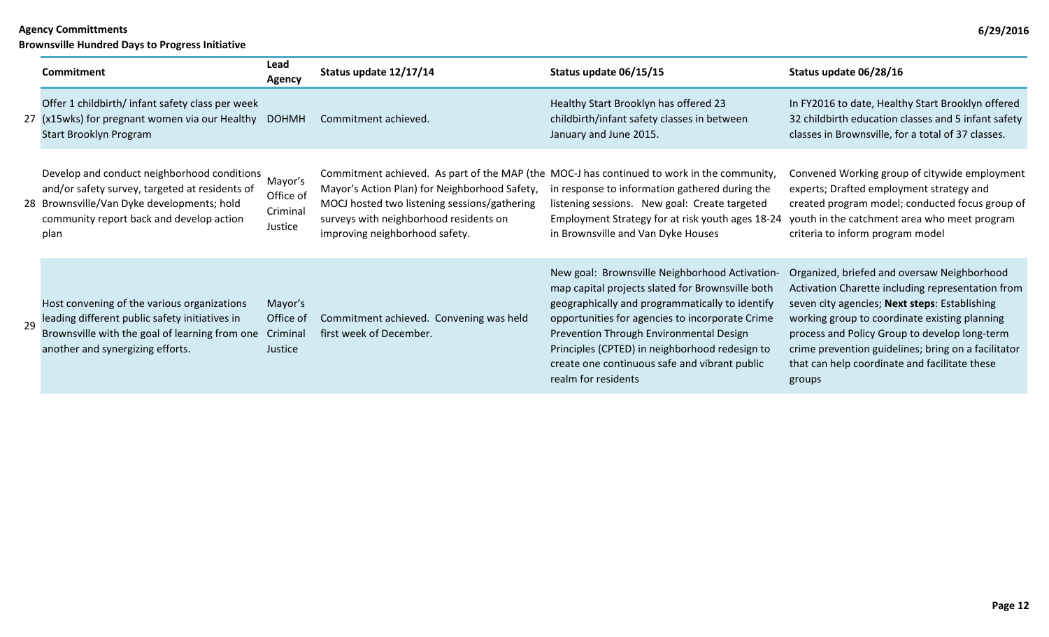|    | Commitment                                                                                                                                                                                      | Lead<br>Agency                              | Status update 12/17/14                                                                                                                                                    | Status update 06/15/15                                                                                                                                                                                                                                                                                                                                                        | Status update 06/28/16                                                                                                                                                                                                                                                                                                                                                |
|----|-------------------------------------------------------------------------------------------------------------------------------------------------------------------------------------------------|---------------------------------------------|---------------------------------------------------------------------------------------------------------------------------------------------------------------------------|-------------------------------------------------------------------------------------------------------------------------------------------------------------------------------------------------------------------------------------------------------------------------------------------------------------------------------------------------------------------------------|-----------------------------------------------------------------------------------------------------------------------------------------------------------------------------------------------------------------------------------------------------------------------------------------------------------------------------------------------------------------------|
|    | Offer 1 childbirth/ infant safety class per week<br>27 (x15wks) for pregnant women via our Healthy<br>Start Brooklyn Program                                                                    | <b>DOHMH</b>                                | Commitment achieved.                                                                                                                                                      | Healthy Start Brooklyn has offered 23<br>childbirth/infant safety classes in between<br>January and June 2015.                                                                                                                                                                                                                                                                | In FY2016 to date, Healthy Start Brooklyn offered<br>32 childbirth education classes and 5 infant safety<br>classes in Brownsville, for a total of 37 classes.                                                                                                                                                                                                        |
|    | Develop and conduct neighborhood conditions<br>and/or safety survey, targeted at residents of<br>28 Brownsville/Van Dyke developments; hold<br>community report back and develop action<br>plan | Mayor's<br>Office of<br>Criminal<br>Justice | Mayor's Action Plan) for Neighborhood Safety,<br>MOCJ hosted two listening sessions/gathering<br>surveys with neighborhood residents on<br>improving neighborhood safety. | Commitment achieved. As part of the MAP (the MOC-J has continued to work in the community,<br>in response to information gathered during the<br>listening sessions. New goal: Create targeted<br>Employment Strategy for at risk youth ages 18-24<br>in Brownsville and Van Dyke Houses                                                                                       | Convened Working group of citywide employment<br>experts; Drafted employment strategy and<br>created program model; conducted focus group of<br>youth in the catchment area who meet program<br>criteria to inform program model                                                                                                                                      |
| 29 | Host convening of the various organizations<br>leading different public safety initiatives in<br>Brownsville with the goal of learning from one<br>another and synergizing efforts.             | Mayor's<br>Office of<br>Criminal<br>Justice | Commitment achieved. Convening was held<br>first week of December.                                                                                                        | New goal: Brownsville Neighborhood Activation-<br>map capital projects slated for Brownsville both<br>geographically and programmatically to identify<br>opportunities for agencies to incorporate Crime<br>Prevention Through Environmental Design<br>Principles (CPTED) in neighborhood redesign to<br>create one continuous safe and vibrant public<br>realm for residents | Organized, briefed and oversaw Neighborhood<br>Activation Charette including representation from<br>seven city agencies; Next steps: Establishing<br>working group to coordinate existing planning<br>process and Policy Group to develop long-term<br>crime prevention guidelines; bring on a facilitator<br>that can help coordinate and facilitate these<br>groups |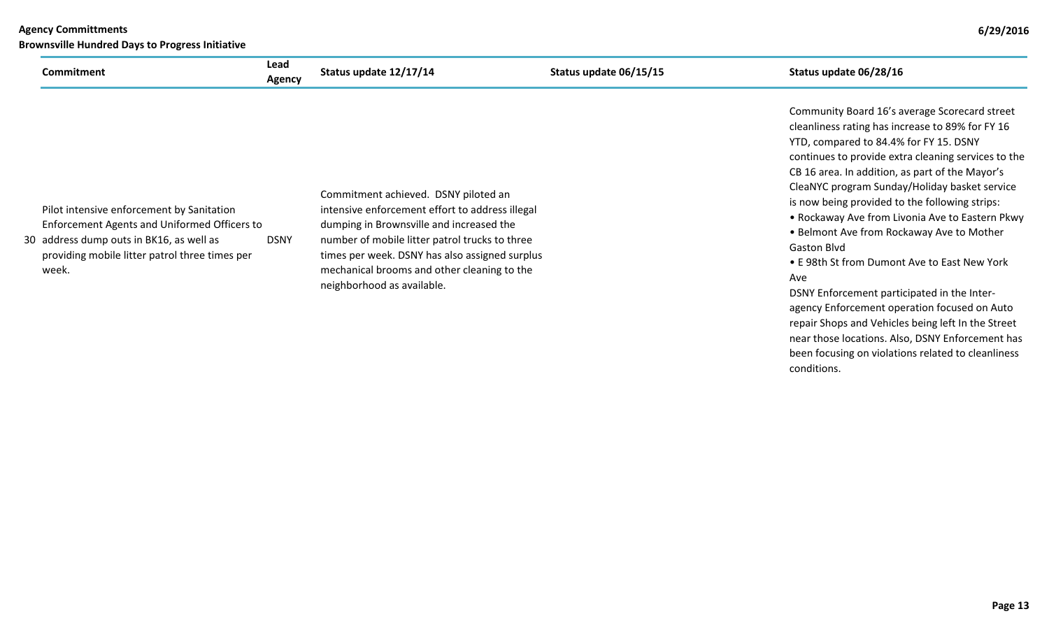| 6/29/2016<br><b>Agency Committments</b><br><b>Brownsville Hundred Days to Progress Initiative</b>                                                                                                |                       |                                                                                                                                                                                                                                                                                                                      |                        |                                                                                                                                                                                                                                                                                                                                                                                                                                                                                                                                                                                      |
|--------------------------------------------------------------------------------------------------------------------------------------------------------------------------------------------------|-----------------------|----------------------------------------------------------------------------------------------------------------------------------------------------------------------------------------------------------------------------------------------------------------------------------------------------------------------|------------------------|--------------------------------------------------------------------------------------------------------------------------------------------------------------------------------------------------------------------------------------------------------------------------------------------------------------------------------------------------------------------------------------------------------------------------------------------------------------------------------------------------------------------------------------------------------------------------------------|
| Commitment                                                                                                                                                                                       | Lead<br><b>Agency</b> | Status update 12/17/14                                                                                                                                                                                                                                                                                               | Status update 06/15/15 | Status update 06/28/16                                                                                                                                                                                                                                                                                                                                                                                                                                                                                                                                                               |
| Pilot intensive enforcement by Sanitation<br>Enforcement Agents and Uniformed Officers to<br>30 address dump outs in BK16, as well as<br>providing mobile litter patrol three times per<br>week. | <b>DSNY</b>           | Commitment achieved. DSNY piloted an<br>intensive enforcement effort to address illegal<br>dumping in Brownsville and increased the<br>number of mobile litter patrol trucks to three<br>times per week. DSNY has also assigned surplus<br>mechanical brooms and other cleaning to the<br>neighborhood as available. |                        | Community Board 16's average Scorecard street<br>cleanliness rating has increase to 89% for FY 16<br>YTD, compared to 84.4% for FY 15. DSNY<br>continues to provide extra cleaning services to the<br>CB 16 area. In addition, as part of the Mayor's<br>CleaNYC program Sunday/Holiday basket service<br>is now being provided to the following strips:<br>• Rockaway Ave from Livonia Ave to Eastern Pkwy<br>• Belmont Ave from Rockaway Ave to Mother<br><b>Gaston Blvd</b><br>• E 98th St from Dumont Ave to East New York<br>Ave<br>DSNY Enforcement participated in the Inter- |

DSNY Enforcement participated in the Interagency Enforcement operation focused on Auto repair Shops and Vehicles being left In the Street near those locations. Also, DSNY Enforcement has been focusing on violations related to cleanliness conditions.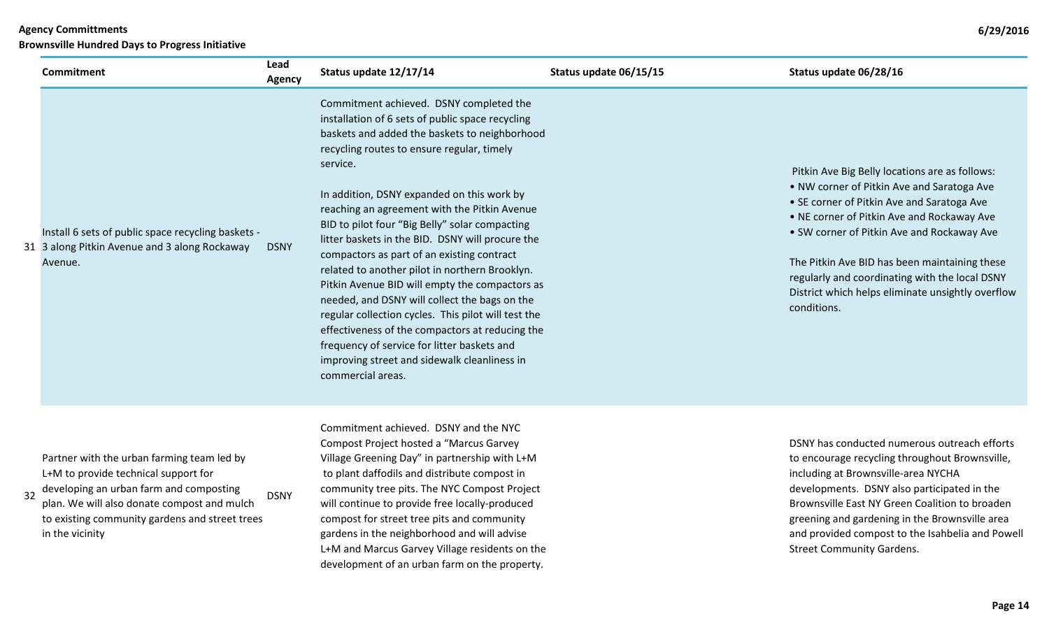|    | <b>Commitment</b>                                                                                                                                                                                                                                 | Lead<br>Agency | Status update 12/17/14                                                                                                                                                                                                                                                                                                                                                                                                                                                                                                                                                                                                                                                                                                                                                                                                                      | Status update 06/15/15 | Status update 06/28/16                                                                                                                                                                                                                                                                                                                                                                                        |
|----|---------------------------------------------------------------------------------------------------------------------------------------------------------------------------------------------------------------------------------------------------|----------------|---------------------------------------------------------------------------------------------------------------------------------------------------------------------------------------------------------------------------------------------------------------------------------------------------------------------------------------------------------------------------------------------------------------------------------------------------------------------------------------------------------------------------------------------------------------------------------------------------------------------------------------------------------------------------------------------------------------------------------------------------------------------------------------------------------------------------------------------|------------------------|---------------------------------------------------------------------------------------------------------------------------------------------------------------------------------------------------------------------------------------------------------------------------------------------------------------------------------------------------------------------------------------------------------------|
|    | Install 6 sets of public space recycling baskets -<br>31 3 along Pitkin Avenue and 3 along Rockaway<br>Avenue.                                                                                                                                    | <b>DSNY</b>    | Commitment achieved. DSNY completed the<br>installation of 6 sets of public space recycling<br>baskets and added the baskets to neighborhood<br>recycling routes to ensure regular, timely<br>service.<br>In addition, DSNY expanded on this work by<br>reaching an agreement with the Pitkin Avenue<br>BID to pilot four "Big Belly" solar compacting<br>litter baskets in the BID. DSNY will procure the<br>compactors as part of an existing contract<br>related to another pilot in northern Brooklyn.<br>Pitkin Avenue BID will empty the compactors as<br>needed, and DSNY will collect the bags on the<br>regular collection cycles. This pilot will test the<br>effectiveness of the compactors at reducing the<br>frequency of service for litter baskets and<br>improving street and sidewalk cleanliness in<br>commercial areas. |                        | Pitkin Ave Big Belly locations are as follows:<br>. NW corner of Pitkin Ave and Saratoga Ave<br>• SE corner of Pitkin Ave and Saratoga Ave<br>. NE corner of Pitkin Ave and Rockaway Ave<br>• SW corner of Pitkin Ave and Rockaway Ave<br>The Pitkin Ave BID has been maintaining these<br>regularly and coordinating with the local DSNY<br>District which helps eliminate unsightly overflow<br>conditions. |
| 32 | Partner with the urban farming team led by<br>L+M to provide technical support for<br>developing an urban farm and composting<br>plan. We will also donate compost and mulch<br>to existing community gardens and street trees<br>in the vicinity | <b>DSNY</b>    | Commitment achieved. DSNY and the NYC<br>Compost Project hosted a "Marcus Garvey<br>Village Greening Day" in partnership with L+M<br>to plant daffodils and distribute compost in<br>community tree pits. The NYC Compost Project<br>will continue to provide free locally-produced<br>compost for street tree pits and community<br>gardens in the neighborhood and will advise<br>L+M and Marcus Garvey Village residents on the<br>development of an urban farm on the property.                                                                                                                                                                                                                                                                                                                                                         |                        | DSNY has conducted numerous outreach efforts<br>to encourage recycling throughout Brownsville,<br>including at Brownsville-area NYCHA<br>developments. DSNY also participated in the<br>Brownsville East NY Green Coalition to broaden<br>greening and gardening in the Brownsville area<br>and provided compost to the Isahbelia and Powell<br><b>Street Community Gardens.</b>                              |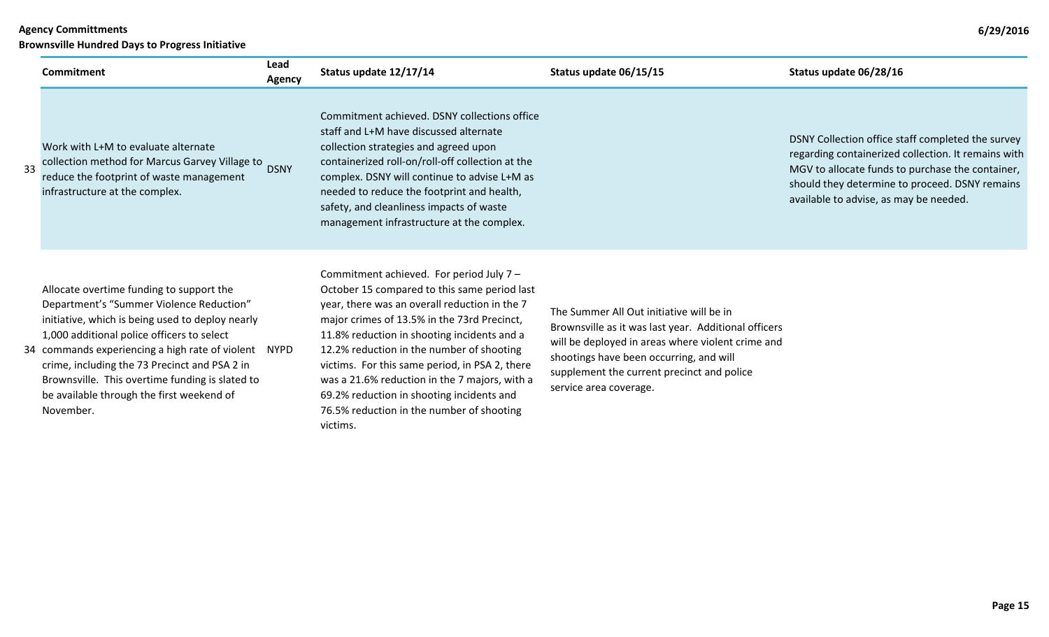**Brownsville Hundred Days to Progress Initiative**

|    | Commitment                                                                                                                                                                                                                                                                                                                                                                                                   | Lead<br>Agency | Status update 12/17/14                                                                                                                                                                                                                                                                                                                                                                                                                                                                        | Status update 06/15/15                                                                                                                                                                                                                                                   | Status update 06/28/16                                                                                                                                                                                                                                   |
|----|--------------------------------------------------------------------------------------------------------------------------------------------------------------------------------------------------------------------------------------------------------------------------------------------------------------------------------------------------------------------------------------------------------------|----------------|-----------------------------------------------------------------------------------------------------------------------------------------------------------------------------------------------------------------------------------------------------------------------------------------------------------------------------------------------------------------------------------------------------------------------------------------------------------------------------------------------|--------------------------------------------------------------------------------------------------------------------------------------------------------------------------------------------------------------------------------------------------------------------------|----------------------------------------------------------------------------------------------------------------------------------------------------------------------------------------------------------------------------------------------------------|
| 33 | Work with L+M to evaluate alternate<br>collection method for Marcus Garvey Village to<br>reduce the footprint of waste management<br>infrastructure at the complex.                                                                                                                                                                                                                                          | <b>DSNY</b>    | Commitment achieved. DSNY collections office<br>staff and L+M have discussed alternate<br>collection strategies and agreed upon<br>containerized roll-on/roll-off collection at the<br>complex. DSNY will continue to advise L+M as<br>needed to reduce the footprint and health,<br>safety, and cleanliness impacts of waste<br>management infrastructure at the complex.                                                                                                                    |                                                                                                                                                                                                                                                                          | DSNY Collection office staff completed the survey<br>regarding containerized collection. It remains with<br>MGV to allocate funds to purchase the container,<br>should they determine to proceed. DSNY remains<br>available to advise, as may be needed. |
|    | Allocate overtime funding to support the<br>Department's "Summer Violence Reduction"<br>initiative, which is being used to deploy nearly<br>1,000 additional police officers to select<br>34 commands experiencing a high rate of violent NYPD<br>crime, including the 73 Precinct and PSA 2 in<br>Brownsville. This overtime funding is slated to<br>be available through the first weekend of<br>November. |                | Commitment achieved. For period July 7 -<br>October 15 compared to this same period last<br>year, there was an overall reduction in the 7<br>major crimes of 13.5% in the 73rd Precinct,<br>11.8% reduction in shooting incidents and a<br>12.2% reduction in the number of shooting<br>victims. For this same period, in PSA 2, there<br>was a 21.6% reduction in the 7 majors, with a<br>69.2% reduction in shooting incidents and<br>76.5% reduction in the number of shooting<br>victims. | The Summer All Out initiative will be in<br>Brownsville as it was last year. Additional officers<br>will be deployed in areas where violent crime and<br>shootings have been occurring, and will<br>supplement the current precinct and police<br>service area coverage. |                                                                                                                                                                                                                                                          |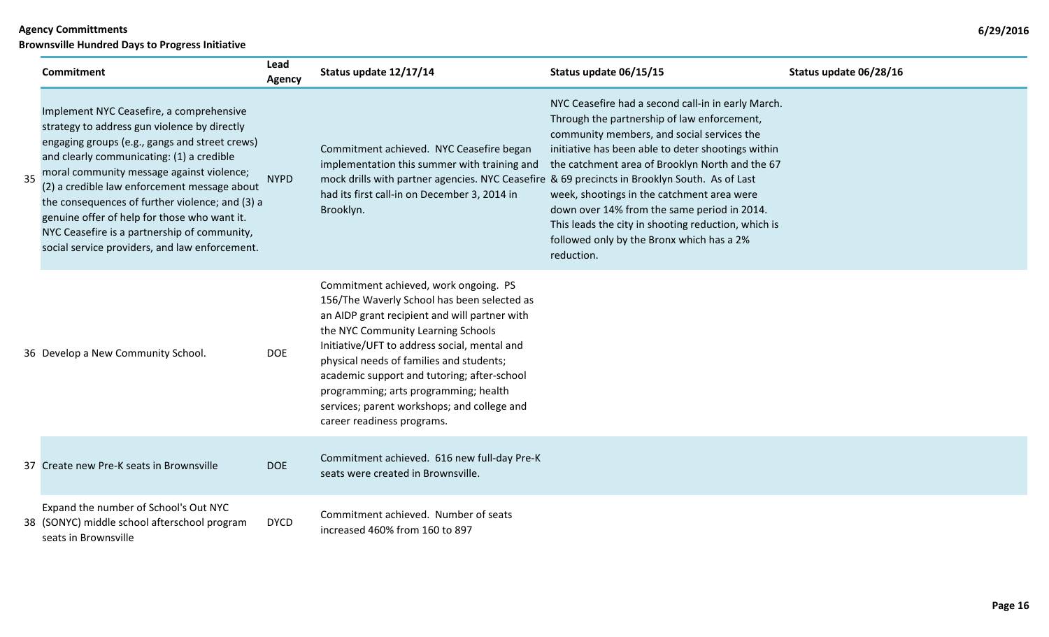**Brownsville Hundred Days to Progress Initiative**

| <b>Commitment</b>                                                                                                                                                                                                                                                                                                                                                                                                                                                                         | Lead<br><b>Agency</b> | Status update 12/17/14                                                                                                                                                                                                                                                                                                                                                                                                                       | Status update 06/15/15                                                                                                                                                                                                                                                                                                                                                                                                                                                  | Status update 06/28/16 |
|-------------------------------------------------------------------------------------------------------------------------------------------------------------------------------------------------------------------------------------------------------------------------------------------------------------------------------------------------------------------------------------------------------------------------------------------------------------------------------------------|-----------------------|----------------------------------------------------------------------------------------------------------------------------------------------------------------------------------------------------------------------------------------------------------------------------------------------------------------------------------------------------------------------------------------------------------------------------------------------|-------------------------------------------------------------------------------------------------------------------------------------------------------------------------------------------------------------------------------------------------------------------------------------------------------------------------------------------------------------------------------------------------------------------------------------------------------------------------|------------------------|
| Implement NYC Ceasefire, a comprehensive<br>strategy to address gun violence by directly<br>engaging groups (e.g., gangs and street crews)<br>and clearly communicating: (1) a credible<br>moral community message against violence;<br>(2) a credible law enforcement message about<br>the consequences of further violence; and (3) a<br>genuine offer of help for those who want it.<br>NYC Ceasefire is a partnership of community,<br>social service providers, and law enforcement. | <b>NYPD</b>           | Commitment achieved. NYC Ceasefire began<br>implementation this summer with training and<br>mock drills with partner agencies. NYC Ceasefire & 69 precincts in Brooklyn South. As of Last<br>had its first call-in on December 3, 2014 in<br>Brooklyn.                                                                                                                                                                                       | NYC Ceasefire had a second call-in in early March.<br>Through the partnership of law enforcement,<br>community members, and social services the<br>initiative has been able to deter shootings within<br>the catchment area of Brooklyn North and the 67<br>week, shootings in the catchment area were<br>down over 14% from the same period in 2014.<br>This leads the city in shooting reduction, which is<br>followed only by the Bronx which has a 2%<br>reduction. |                        |
| 36 Develop a New Community School.                                                                                                                                                                                                                                                                                                                                                                                                                                                        | <b>DOE</b>            | Commitment achieved, work ongoing. PS<br>156/The Waverly School has been selected as<br>an AIDP grant recipient and will partner with<br>the NYC Community Learning Schools<br>Initiative/UFT to address social, mental and<br>physical needs of families and students;<br>academic support and tutoring; after-school<br>programming; arts programming; health<br>services; parent workshops; and college and<br>career readiness programs. |                                                                                                                                                                                                                                                                                                                                                                                                                                                                         |                        |
| 37 Create new Pre-K seats in Brownsville                                                                                                                                                                                                                                                                                                                                                                                                                                                  | <b>DOE</b>            | Commitment achieved. 616 new full-day Pre-K<br>seats were created in Brownsville.                                                                                                                                                                                                                                                                                                                                                            |                                                                                                                                                                                                                                                                                                                                                                                                                                                                         |                        |
| Expand the number of School's Out NYC<br>38 (SONYC) middle school afterschool program<br>seats in Brownsville                                                                                                                                                                                                                                                                                                                                                                             | <b>DYCD</b>           | Commitment achieved. Number of seats<br>increased 460% from 160 to 897                                                                                                                                                                                                                                                                                                                                                                       |                                                                                                                                                                                                                                                                                                                                                                                                                                                                         |                        |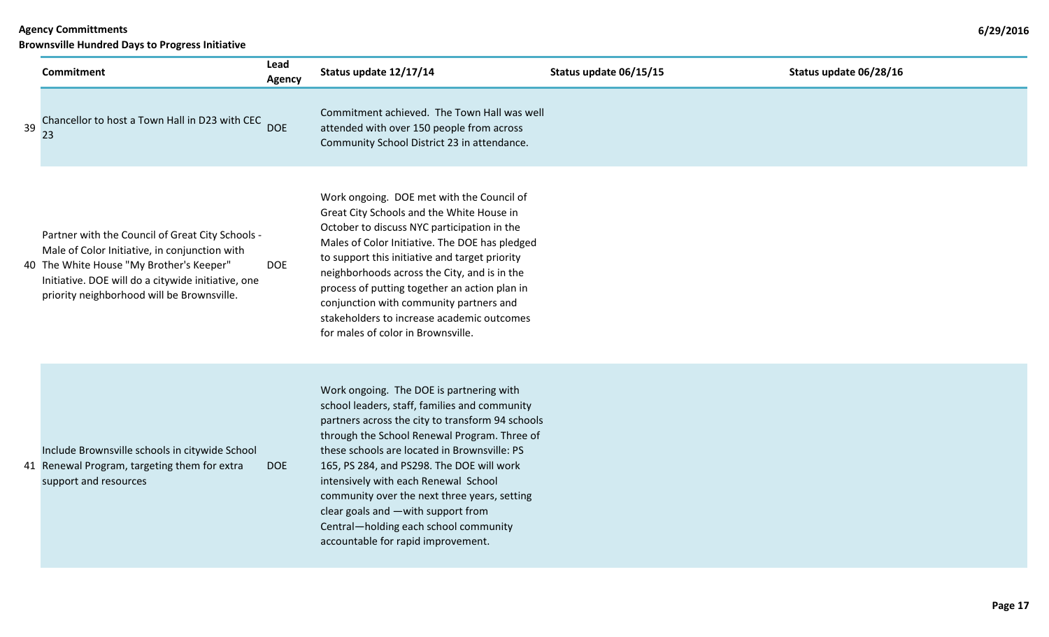|    | <b>Commitment</b>                                                                                                                                                                                                                                 | Lead<br><b>Agency</b> | Status update 12/17/14                                                                                                                                                                                                                                                                                                                                                                                                                                                                                  | Status update 06/15/15 | Status update 06/28/16 |
|----|---------------------------------------------------------------------------------------------------------------------------------------------------------------------------------------------------------------------------------------------------|-----------------------|---------------------------------------------------------------------------------------------------------------------------------------------------------------------------------------------------------------------------------------------------------------------------------------------------------------------------------------------------------------------------------------------------------------------------------------------------------------------------------------------------------|------------------------|------------------------|
| 39 | Chancellor to host a Town Hall in D23 with CEC<br>23                                                                                                                                                                                              | <b>DOE</b>            | Commitment achieved. The Town Hall was well<br>attended with over 150 people from across<br>Community School District 23 in attendance.                                                                                                                                                                                                                                                                                                                                                                 |                        |                        |
|    | Partner with the Council of Great City Schools -<br>Male of Color Initiative, in conjunction with<br>40 The White House "My Brother's Keeper"<br>Initiative. DOE will do a citywide initiative, one<br>priority neighborhood will be Brownsville. | <b>DOE</b>            | Work ongoing. DOE met with the Council of<br>Great City Schools and the White House in<br>October to discuss NYC participation in the<br>Males of Color Initiative. The DOE has pledged<br>to support this initiative and target priority<br>neighborhoods across the City, and is in the<br>process of putting together an action plan in<br>conjunction with community partners and<br>stakeholders to increase academic outcomes<br>for males of color in Brownsville.                               |                        |                        |
|    | Include Brownsville schools in citywide School<br>41 Renewal Program, targeting them for extra<br>support and resources                                                                                                                           | <b>DOE</b>            | Work ongoing. The DOE is partnering with<br>school leaders, staff, families and community<br>partners across the city to transform 94 schools<br>through the School Renewal Program. Three of<br>these schools are located in Brownsville: PS<br>165, PS 284, and PS298. The DOE will work<br>intensively with each Renewal School<br>community over the next three years, setting<br>clear goals and -with support from<br>Central-holding each school community<br>accountable for rapid improvement. |                        |                        |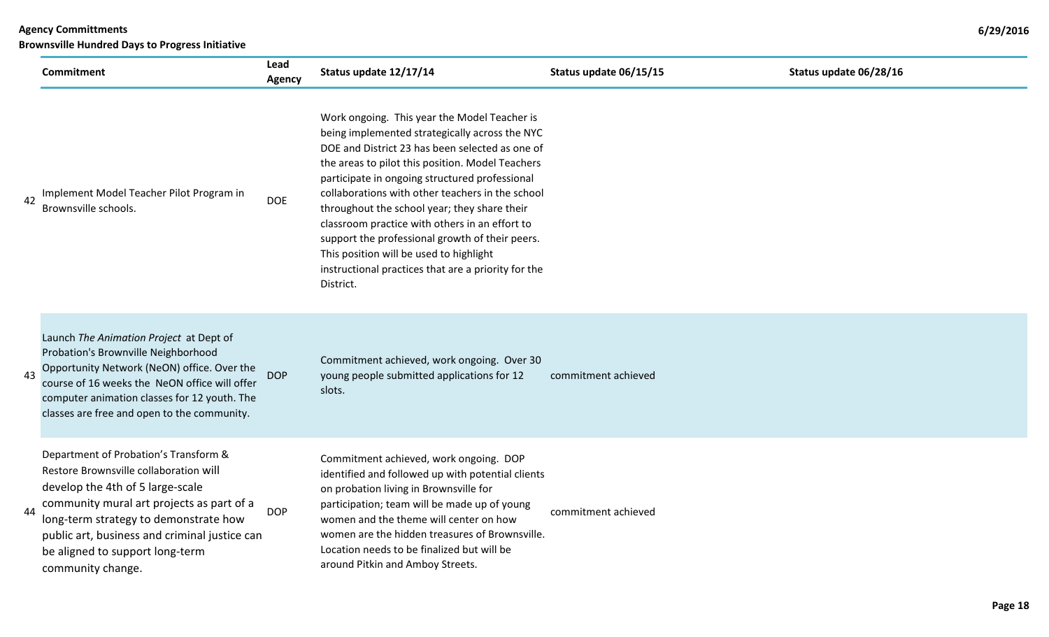| <b>Agency Committments</b>                             |  |
|--------------------------------------------------------|--|
| <b>Brownsville Hundred Days to Progress Initiative</b> |  |

|    | <b>Commitment</b>                                                                                                                                                                                                                                                                                                  | Lead<br><b>Agency</b> | Status update 12/17/14                                                                                                                                                                                                                                                                                                                                                                                                                                                                                                                                                          | Status update 06/15/15 | Status update 06/28/16 |
|----|--------------------------------------------------------------------------------------------------------------------------------------------------------------------------------------------------------------------------------------------------------------------------------------------------------------------|-----------------------|---------------------------------------------------------------------------------------------------------------------------------------------------------------------------------------------------------------------------------------------------------------------------------------------------------------------------------------------------------------------------------------------------------------------------------------------------------------------------------------------------------------------------------------------------------------------------------|------------------------|------------------------|
| 42 | Implement Model Teacher Pilot Program in<br>Brownsville schools.                                                                                                                                                                                                                                                   | <b>DOE</b>            | Work ongoing. This year the Model Teacher is<br>being implemented strategically across the NYC<br>DOE and District 23 has been selected as one of<br>the areas to pilot this position. Model Teachers<br>participate in ongoing structured professional<br>collaborations with other teachers in the school<br>throughout the school year; they share their<br>classroom practice with others in an effort to<br>support the professional growth of their peers.<br>This position will be used to highlight<br>instructional practices that are a priority for the<br>District. |                        |                        |
| 43 | Launch The Animation Project at Dept of<br>Probation's Brownville Neighborhood<br>Opportunity Network (NeON) office. Over the<br>course of 16 weeks the NeON office will offer<br>computer animation classes for 12 youth. The<br>classes are free and open to the community.                                      | <b>DOP</b>            | Commitment achieved, work ongoing. Over 30<br>young people submitted applications for 12<br>slots.                                                                                                                                                                                                                                                                                                                                                                                                                                                                              | commitment achieved    |                        |
| 44 | Department of Probation's Transform &<br>Restore Brownsville collaboration will<br>develop the 4th of 5 large-scale<br>community mural art projects as part of a<br>long-term strategy to demonstrate how<br>public art, business and criminal justice can<br>be aligned to support long-term<br>community change. | <b>DOP</b>            | Commitment achieved, work ongoing. DOP<br>identified and followed up with potential clients<br>on probation living in Brownsville for<br>participation; team will be made up of young<br>women and the theme will center on how<br>women are the hidden treasures of Brownsville.<br>Location needs to be finalized but will be<br>around Pitkin and Amboy Streets.                                                                                                                                                                                                             | commitment achieved    |                        |